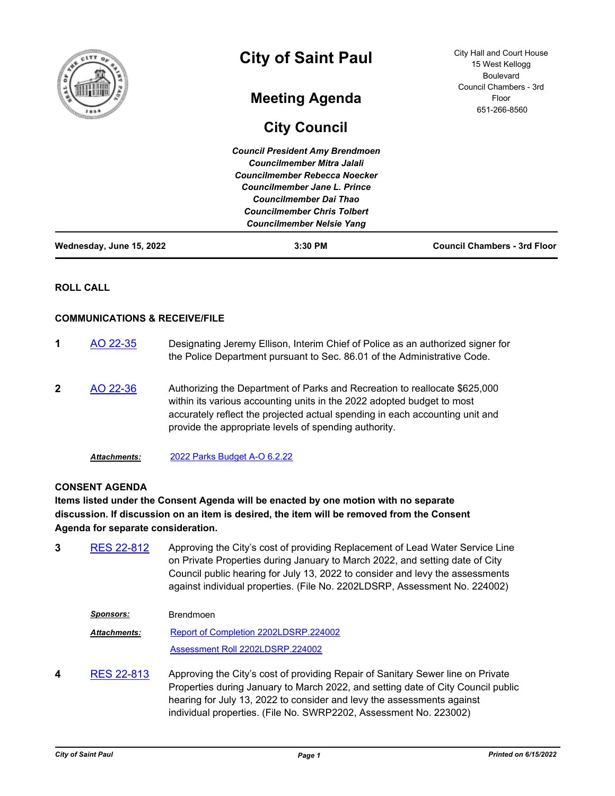| f<br>ô                   | <b>City of Saint Paul</b>                                                   | <b>City Hall and Court House</b><br>15 West Kellogg<br><b>Boulevard</b> |
|--------------------------|-----------------------------------------------------------------------------|-------------------------------------------------------------------------|
|                          | <b>Meeting Agenda</b>                                                       | Council Chambers - 3rd<br>Floor<br>651-266-8560                         |
|                          | <b>City Council</b>                                                         |                                                                         |
|                          | <b>Council President Amy Brendmoen</b><br><b>Councilmember Mitra Jalali</b> |                                                                         |
|                          | Councilmember Rebecca Noecker                                               |                                                                         |
|                          | Councilmember Jane L. Prince<br><b>Councilmember Dai Thao</b>               |                                                                         |
|                          | <b>Councilmember Chris Tolbert</b><br><b>Councilmember Nelsie Yang</b>      |                                                                         |
| Wednesday, June 15, 2022 | $3:30$ PM                                                                   | <b>Council Chambers - 3rd Floor</b>                                     |

## **ROLL CALL**

### **COMMUNICATIONS & RECEIVE/FILE**

- **1** [AO 22-35](http://stpaul.legistar.com/gateway.aspx?m=l&id=/matter.aspx?key=41952) Designating Jeremy Ellison, Interim Chief of Police as an authorized signer for the Police Department pursuant to Sec. 86.01 of the Administrative Code. **2** [AO 22-36](http://stpaul.legistar.com/gateway.aspx?m=l&id=/matter.aspx?key=41973) Authorizing the Department of Parks and Recreation to reallocate \$625,000 within its various accounting units in the 2022 adopted budget to most accurately reflect the projected actual spending in each accounting unit and provide the appropriate levels of spending authority.
	- *Attachments:* [2022 Parks Budget A-O 6.2.22](http://StPaul.legistar.com/gateway.aspx?M=F&ID=cc28c778-207e-4f08-aac8-b9056df81bb6.xlsx)

### **CONSENT AGENDA**

# **Items listed under the Consent Agenda will be enacted by one motion with no separate discussion. If discussion on an item is desired, the item will be removed from the Consent Agenda for separate consideration.**

- **3** [RES 22-812](http://stpaul.legistar.com/gateway.aspx?m=l&id=/matter.aspx?key=41879) Approving the City's cost of providing Replacement of Lead Water Service Line on Private Properties during January to March 2022, and setting date of City Council public hearing for July 13, 2022 to consider and levy the assessments against individual properties. (File No. 2202LDSRP, Assessment No. 224002)
	- *Sponsors:* Brendmoen [Report of Completion 2202LDSRP.224002](http://StPaul.legistar.com/gateway.aspx?M=F&ID=d79fcae9-45eb-49d6-a55f-5314cb7dfe56.pdf) [Assessment Roll 2202LDSRP.224002](http://StPaul.legistar.com/gateway.aspx?M=F&ID=108caf3e-02ad-4e46-91ca-b3bfd4f5112c.pdf) *Attachments:*
- **4** [RES 22-813](http://stpaul.legistar.com/gateway.aspx?m=l&id=/matter.aspx?key=41880) Approving the City's cost of providing Repair of Sanitary Sewer line on Private Properties during January to March 2022, and setting date of City Council public hearing for July 13, 2022 to consider and levy the assessments against individual properties. (File No. SWRP2202, Assessment No. 223002)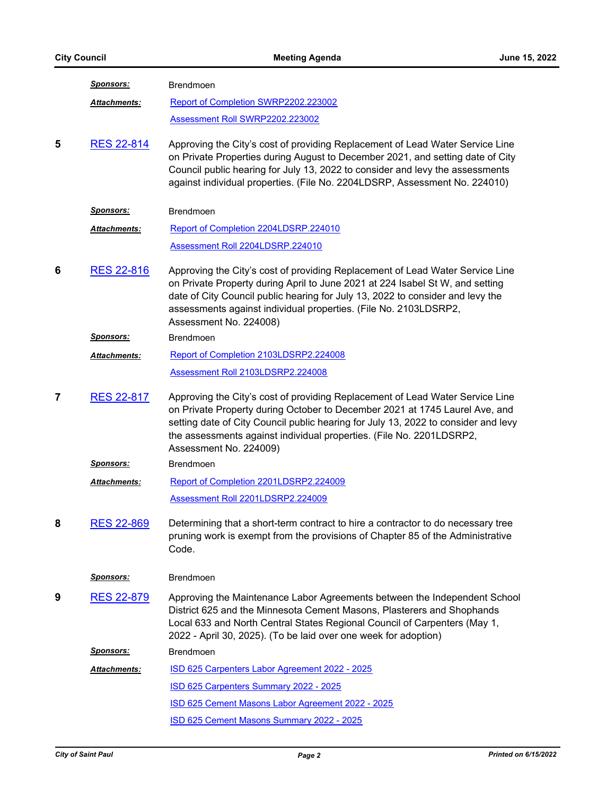|   | <u>Sponsors:</u>    | Brendmoen                                                                                                                                                                                                                                                                                                                                            |
|---|---------------------|------------------------------------------------------------------------------------------------------------------------------------------------------------------------------------------------------------------------------------------------------------------------------------------------------------------------------------------------------|
|   | <b>Attachments:</b> | Report of Completion SWRP2202.223002                                                                                                                                                                                                                                                                                                                 |
|   |                     | Assessment Roll SWRP2202.223002                                                                                                                                                                                                                                                                                                                      |
| 5 | <b>RES 22-814</b>   | Approving the City's cost of providing Replacement of Lead Water Service Line<br>on Private Properties during August to December 2021, and setting date of City<br>Council public hearing for July 13, 2022 to consider and levy the assessments<br>against individual properties. (File No. 2204LDSRP, Assessment No. 224010)                       |
|   | <u>Sponsors:</u>    | <b>Brendmoen</b>                                                                                                                                                                                                                                                                                                                                     |
|   | Attachments:        | Report of Completion 2204LDSRP.224010                                                                                                                                                                                                                                                                                                                |
|   |                     | Assessment Roll 2204LDSRP.224010                                                                                                                                                                                                                                                                                                                     |
| 6 | <b>RES 22-816</b>   | Approving the City's cost of providing Replacement of Lead Water Service Line<br>on Private Property during April to June 2021 at 224 Isabel St W, and setting<br>date of City Council public hearing for July 13, 2022 to consider and levy the<br>assessments against individual properties. (File No. 2103LDSRP2,<br>Assessment No. 224008)       |
|   | <u>Sponsors:</u>    | Brendmoen                                                                                                                                                                                                                                                                                                                                            |
|   | <b>Attachments:</b> | Report of Completion 2103LDSRP2.224008                                                                                                                                                                                                                                                                                                               |
|   |                     | Assessment Roll 2103LDSRP2.224008                                                                                                                                                                                                                                                                                                                    |
| 7 | <b>RES 22-817</b>   | Approving the City's cost of providing Replacement of Lead Water Service Line<br>on Private Property during October to December 2021 at 1745 Laurel Ave, and<br>setting date of City Council public hearing for July 13, 2022 to consider and levy<br>the assessments against individual properties. (File No. 2201LDSRP2,<br>Assessment No. 224009) |
|   | <u>Sponsors:</u>    | Brendmoen                                                                                                                                                                                                                                                                                                                                            |
|   | <b>Attachments:</b> | Report of Completion 2201LDSRP2.224009                                                                                                                                                                                                                                                                                                               |
|   |                     | Assessment Roll 2201LDSRP2.224009                                                                                                                                                                                                                                                                                                                    |
| 8 | <b>RES 22-869</b>   | Determining that a short-term contract to hire a contractor to do necessary tree<br>pruning work is exempt from the provisions of Chapter 85 of the Administrative<br>Code.                                                                                                                                                                          |
|   | <b>Sponsors:</b>    | <b>Brendmoen</b>                                                                                                                                                                                                                                                                                                                                     |
| 9 | <b>RES 22-879</b>   | Approving the Maintenance Labor Agreements between the Independent School<br>District 625 and the Minnesota Cement Masons, Plasterers and Shophands<br>Local 633 and North Central States Regional Council of Carpenters (May 1,<br>2022 - April 30, 2025). (To be laid over one week for adoption)                                                  |
|   | <u>Sponsors:</u>    | Brendmoen                                                                                                                                                                                                                                                                                                                                            |
|   | Attachments:        | ISD 625 Carpenters Labor Agreement 2022 - 2025                                                                                                                                                                                                                                                                                                       |
|   |                     | ISD 625 Carpenters Summary 2022 - 2025                                                                                                                                                                                                                                                                                                               |
|   |                     | ISD 625 Cement Masons Labor Agreement 2022 - 2025                                                                                                                                                                                                                                                                                                    |
|   |                     | ISD 625 Cement Masons Summary 2022 - 2025                                                                                                                                                                                                                                                                                                            |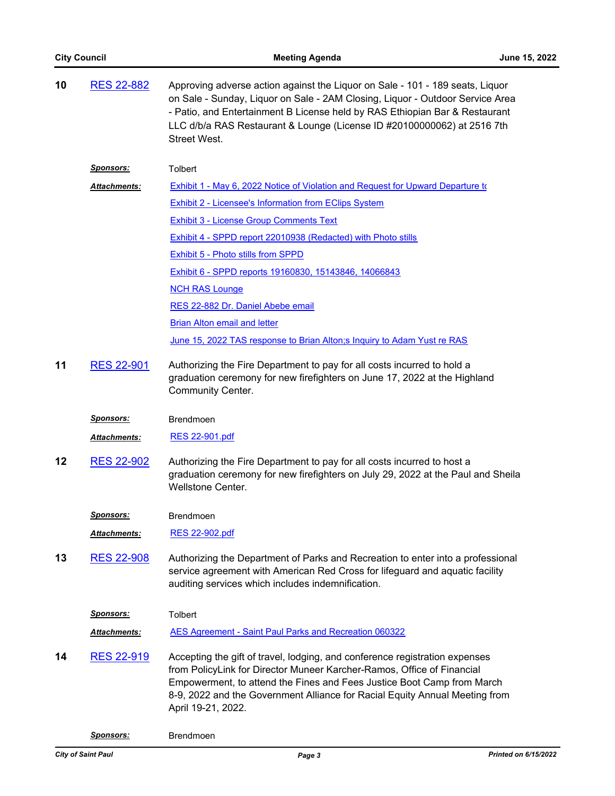| 10 | <b>RES 22-882</b>    | Approving adverse action against the Liquor on Sale - 101 - 189 seats, Liquor<br>on Sale - Sunday, Liquor on Sale - 2AM Closing, Liquor - Outdoor Service Area<br>- Patio, and Entertainment B License held by RAS Ethiopian Bar & Restaurant<br>LLC d/b/a RAS Restaurant & Lounge (License ID #20100000062) at 2516 7th<br><b>Street West.</b> |
|----|----------------------|-------------------------------------------------------------------------------------------------------------------------------------------------------------------------------------------------------------------------------------------------------------------------------------------------------------------------------------------------|
|    | <u>Sponsors:</u>     | <b>Tolbert</b>                                                                                                                                                                                                                                                                                                                                  |
|    | Attachments:         | Exhibit 1 - May 6, 2022 Notice of Violation and Request for Upward Departure to                                                                                                                                                                                                                                                                 |
|    |                      | <b>Exhibit 2 - Licensee's Information from EClips System</b>                                                                                                                                                                                                                                                                                    |
|    |                      | <b>Exhibit 3 - License Group Comments Text</b>                                                                                                                                                                                                                                                                                                  |
|    |                      | Exhibit 4 - SPPD report 22010938 (Redacted) with Photo stills                                                                                                                                                                                                                                                                                   |
|    |                      | <b>Exhibit 5 - Photo stills from SPPD</b>                                                                                                                                                                                                                                                                                                       |
|    |                      | Exhibit 6 - SPPD reports 19160830, 15143846, 14066843                                                                                                                                                                                                                                                                                           |
|    |                      | <b>NCH RAS Lounge</b>                                                                                                                                                                                                                                                                                                                           |
|    |                      | RES 22-882 Dr. Daniel Abebe email                                                                                                                                                                                                                                                                                                               |
|    |                      | <b>Brian Alton email and letter</b>                                                                                                                                                                                                                                                                                                             |
|    |                      | June 15, 2022 TAS response to Brian Alton;s Inquiry to Adam Yust re RAS                                                                                                                                                                                                                                                                         |
| 11 | <b>RES 22-901</b>    | Authorizing the Fire Department to pay for all costs incurred to hold a<br>graduation ceremony for new firefighters on June 17, 2022 at the Highland<br><b>Community Center.</b>                                                                                                                                                                |
|    | <u>Sponsors:</u>     | <b>Brendmoen</b>                                                                                                                                                                                                                                                                                                                                |
|    | Attachments:         | RES 22-901.pdf                                                                                                                                                                                                                                                                                                                                  |
| 12 | <b>RES 22-902</b>    | Authorizing the Fire Department to pay for all costs incurred to host a<br>graduation ceremony for new firefighters on July 29, 2022 at the Paul and Sheila<br>Wellstone Center.                                                                                                                                                                |
|    | <u>Sponsors:</u>     | <b>Brendmoen</b>                                                                                                                                                                                                                                                                                                                                |
|    | Attachments:         | RES 22-902.pdf                                                                                                                                                                                                                                                                                                                                  |
| 13 | <b>RES 22-908</b>    | Authorizing the Department of Parks and Recreation to enter into a professional<br>service agreement with American Red Cross for lifeguard and aquatic facility<br>auditing services which includes indemnification.                                                                                                                            |
|    | Sponsors:            | Tolbert                                                                                                                                                                                                                                                                                                                                         |
|    | <u> Attachments:</u> | AES Agreement - Saint Paul Parks and Recreation 060322                                                                                                                                                                                                                                                                                          |
| 14 | <b>RES 22-919</b>    | Accepting the gift of travel, lodging, and conference registration expenses<br>from PolicyLink for Director Muneer Karcher-Ramos, Office of Financial<br>Empowerment, to attend the Fines and Fees Justice Boot Camp from March<br>8-9, 2022 and the Government Alliance for Racial Equity Annual Meeting from<br>April 19-21, 2022.            |
|    |                      |                                                                                                                                                                                                                                                                                                                                                 |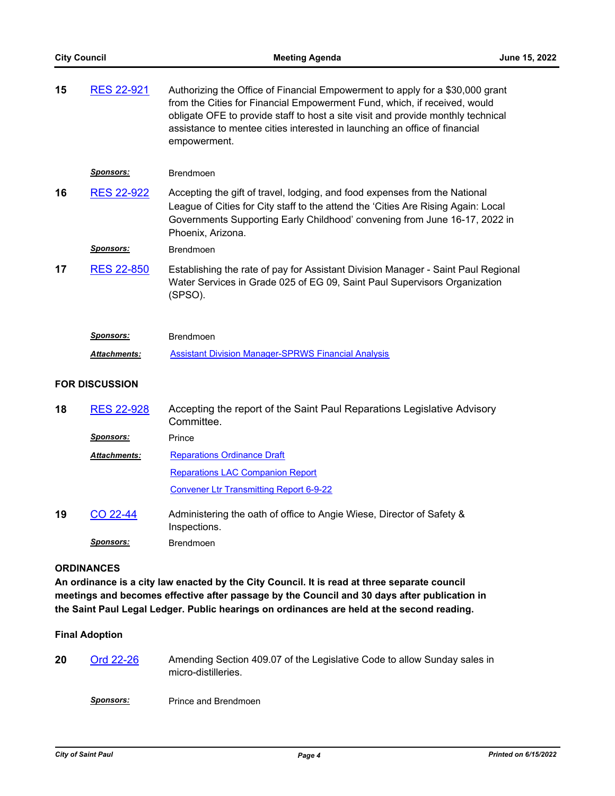| 15 | <b>RES 22-921</b>     | Authorizing the Office of Financial Empowerment to apply for a \$30,000 grant<br>from the Cities for Financial Empowerment Fund, which, if received, would<br>obligate OFE to provide staff to host a site visit and provide monthly technical<br>assistance to mentee cities interested in launching an office of financial<br>empowerment. |
|----|-----------------------|----------------------------------------------------------------------------------------------------------------------------------------------------------------------------------------------------------------------------------------------------------------------------------------------------------------------------------------------|
|    | <u>Sponsors:</u>      | Brendmoen                                                                                                                                                                                                                                                                                                                                    |
| 16 | <b>RES 22-922</b>     | Accepting the gift of travel, lodging, and food expenses from the National<br>League of Cities for City staff to the attend the 'Cities Are Rising Again: Local<br>Governments Supporting Early Childhood' convening from June 16-17, 2022 in<br>Phoenix, Arizona.                                                                           |
|    | <u>Sponsors:</u>      | Brendmoen                                                                                                                                                                                                                                                                                                                                    |
| 17 | <b>RES 22-850</b>     | Establishing the rate of pay for Assistant Division Manager - Saint Paul Regional<br>Water Services in Grade 025 of EG 09, Saint Paul Supervisors Organization<br>(SPSO).                                                                                                                                                                    |
|    |                       |                                                                                                                                                                                                                                                                                                                                              |
|    | <u>Sponsors:</u>      | Brendmoen                                                                                                                                                                                                                                                                                                                                    |
|    | <u> Attachments:</u>  | <b>Assistant Division Manager-SPRWS Financial Analysis</b>                                                                                                                                                                                                                                                                                   |
|    | <b>FOR DISCUSSION</b> |                                                                                                                                                                                                                                                                                                                                              |
| 18 | <b>RES 22-928</b>     | Accepting the report of the Saint Paul Reparations Legislative Advisory<br>Committee.                                                                                                                                                                                                                                                        |
|    | <b>Sponsors:</b>      | Prince                                                                                                                                                                                                                                                                                                                                       |
|    | <u> Attachments:</u>  | <b>Reparations Ordinance Draft</b>                                                                                                                                                                                                                                                                                                           |
|    |                       | <b>Reparations LAC Companion Report</b>                                                                                                                                                                                                                                                                                                      |
|    |                       | <b>Convener Ltr Transmitting Report 6-9-22</b>                                                                                                                                                                                                                                                                                               |
| 19 | CO 22-44              | Administering the oath of office to Angie Wiese, Director of Safety &<br>Inspections.                                                                                                                                                                                                                                                        |

### **ORDINANCES**

**An ordinance is a city law enacted by the City Council. It is read at three separate council meetings and becomes effective after passage by the Council and 30 days after publication in the Saint Paul Legal Ledger. Public hearings on ordinances are held at the second reading.**

#### **Final Adoption**

**20** [Ord 22-26](http://stpaul.legistar.com/gateway.aspx?m=l&id=/matter.aspx?key=41851) Amending Section 409.07 of the Legislative Code to allow Sunday sales in micro-distilleries.

**Sponsors:** Prince and Brendmoen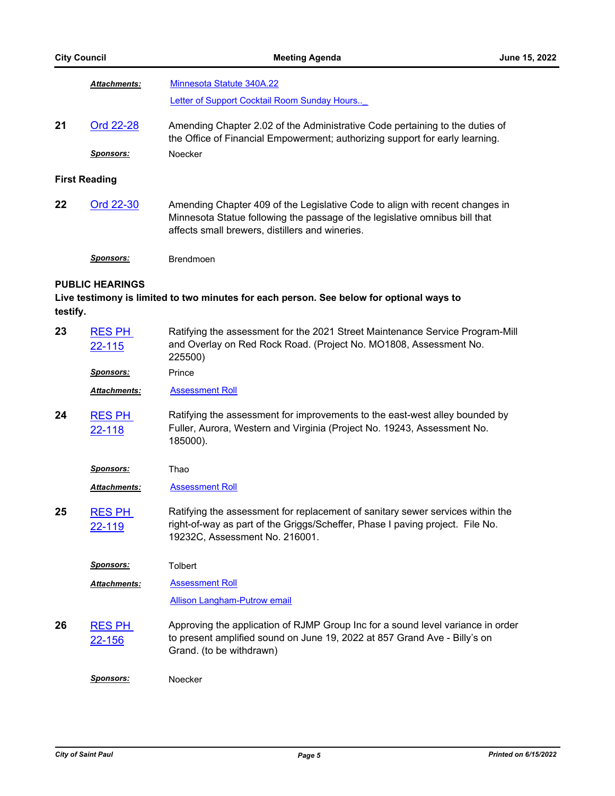|                                                                                                                                | <b>Attachments:</b>     | Minnesota Statute 340A.22                                                                                                                                                                                      |
|--------------------------------------------------------------------------------------------------------------------------------|-------------------------|----------------------------------------------------------------------------------------------------------------------------------------------------------------------------------------------------------------|
|                                                                                                                                |                         | Letter of Support Cocktail Room Sunday Hours                                                                                                                                                                   |
| 21                                                                                                                             | Ord 22-28               | Amending Chapter 2.02 of the Administrative Code pertaining to the duties of<br>the Office of Financial Empowerment; authorizing support for early learning.                                                   |
|                                                                                                                                | <u>Sponsors:</u>        | Noecker                                                                                                                                                                                                        |
| <b>First Reading</b>                                                                                                           |                         |                                                                                                                                                                                                                |
| 22                                                                                                                             | Ord 22-30               | Amending Chapter 409 of the Legislative Code to align with recent changes in<br>Minnesota Statue following the passage of the legislative omnibus bill that<br>affects small brewers, distillers and wineries. |
|                                                                                                                                | <u>Sponsors:</u>        | <b>Brendmoen</b>                                                                                                                                                                                               |
| <b>PUBLIC HEARINGS</b><br>Live testimony is limited to two minutes for each person. See below for optional ways to<br>testify. |                         |                                                                                                                                                                                                                |
| 23                                                                                                                             | <b>RES PH</b><br>22-115 | Ratifying the assessment for the 2021 Street Maintenance Service Program-Mill<br>and Overlay on Red Rock Road. (Project No. MO1808, Assessment No.<br>225500)                                                  |
|                                                                                                                                | <u>Sponsors:</u>        | Prince                                                                                                                                                                                                         |
|                                                                                                                                | <b>Attachments:</b>     | <b>Assessment Roll</b>                                                                                                                                                                                         |
| 24                                                                                                                             | <b>RES PH</b><br>22-118 | Ratifying the assessment for improvements to the east-west alley bounded by<br>Fuller, Aurora, Western and Virginia (Project No. 19243, Assessment No.<br>185000).                                             |
|                                                                                                                                | <u>Sponsors:</u>        | Thao                                                                                                                                                                                                           |
|                                                                                                                                | Attachments:            | <b>Assessment Roll</b>                                                                                                                                                                                         |
| 25                                                                                                                             | <b>RES PH</b><br>22-119 | Ratifying the assessment for replacement of sanitary sewer services within the<br>right-of-way as part of the Griggs/Scheffer, Phase I paving project. File No.<br>19232C, Assessment No. 216001.              |
|                                                                                                                                | <u>Sponsors:</u>        | Tolbert                                                                                                                                                                                                        |
|                                                                                                                                | <b>Attachments:</b>     | <b>Assessment Roll</b>                                                                                                                                                                                         |
|                                                                                                                                |                         | Allison Langham-Putrow email                                                                                                                                                                                   |
| 26                                                                                                                             | <b>RES PH</b><br>22-156 | Approving the application of RJMP Group Inc for a sound level variance in order<br>to present amplified sound on June 19, 2022 at 857 Grand Ave - Billy's on<br>Grand. (to be withdrawn)                       |
|                                                                                                                                | Sponsors:               | Noecker                                                                                                                                                                                                        |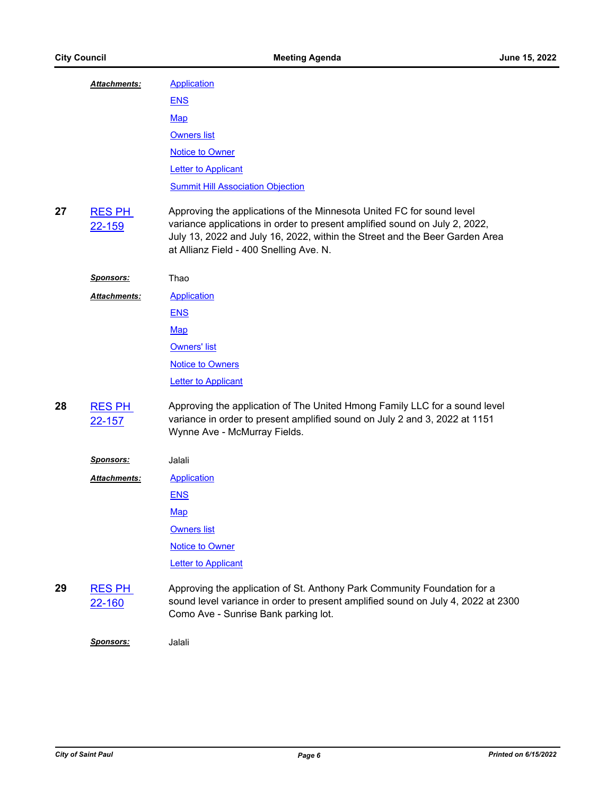|    | <b>Attachments:</b>            | <b>Application</b>                                                                                                                                                                                                                                                            |
|----|--------------------------------|-------------------------------------------------------------------------------------------------------------------------------------------------------------------------------------------------------------------------------------------------------------------------------|
|    |                                | <b>ENS</b>                                                                                                                                                                                                                                                                    |
|    |                                | <u>Map</u>                                                                                                                                                                                                                                                                    |
|    |                                | <b>Owners list</b>                                                                                                                                                                                                                                                            |
|    |                                | <b>Notice to Owner</b>                                                                                                                                                                                                                                                        |
|    |                                | <b>Letter to Applicant</b>                                                                                                                                                                                                                                                    |
|    |                                | <b>Summit Hill Association Objection</b>                                                                                                                                                                                                                                      |
| 27 | <b>RES PH</b><br>22-159        | Approving the applications of the Minnesota United FC for sound level<br>variance applications in order to present amplified sound on July 2, 2022,<br>July 13, 2022 and July 16, 2022, within the Street and the Beer Garden Area<br>at Allianz Field - 400 Snelling Ave. N. |
|    | <u>Sponsors:</u>               | Thao                                                                                                                                                                                                                                                                          |
|    | <b>Attachments:</b>            | <b>Application</b>                                                                                                                                                                                                                                                            |
|    |                                | <b>ENS</b>                                                                                                                                                                                                                                                                    |
|    |                                | <b>Map</b>                                                                                                                                                                                                                                                                    |
|    |                                | <b>Owners' list</b>                                                                                                                                                                                                                                                           |
|    |                                | <b>Notice to Owners</b>                                                                                                                                                                                                                                                       |
|    |                                | <b>Letter to Applicant</b>                                                                                                                                                                                                                                                    |
| 28 | <b>RES PH</b><br><u>22-157</u> | Approving the application of The United Hmong Family LLC for a sound level<br>variance in order to present amplified sound on July 2 and 3, 2022 at 1151<br>Wynne Ave - McMurray Fields.                                                                                      |
|    | <u>Sponsors:</u>               | Jalali                                                                                                                                                                                                                                                                        |
|    | <b>Attachments:</b>            | <b>Application</b>                                                                                                                                                                                                                                                            |
|    |                                | <b>ENS</b>                                                                                                                                                                                                                                                                    |
|    |                                | Map                                                                                                                                                                                                                                                                           |
|    |                                | <b>Owners list</b>                                                                                                                                                                                                                                                            |
|    |                                | <b>Notice to Owner</b>                                                                                                                                                                                                                                                        |
|    |                                | <b>Letter to Applicant</b>                                                                                                                                                                                                                                                    |
| 29 | <b>RES PH</b><br>22-160        | Approving the application of St. Anthony Park Community Foundation for a<br>sound level variance in order to present amplified sound on July 4, 2022 at 2300<br>Como Ave - Sunrise Bank parking lot.                                                                          |
|    | Sponsors:                      | Jalali                                                                                                                                                                                                                                                                        |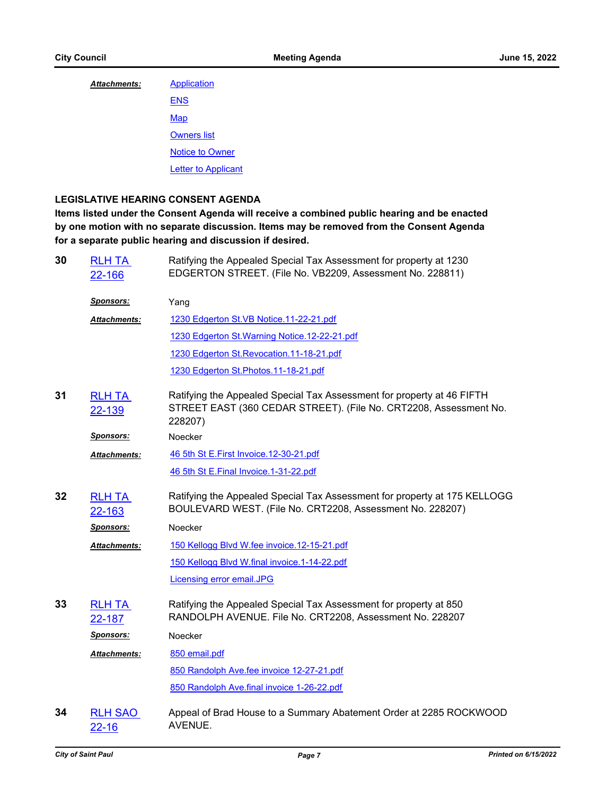| Attachments: | <b>Application</b>         |
|--------------|----------------------------|
|              | <b>ENS</b>                 |
|              | Map                        |
|              | <b>Owners list</b>         |
|              | <b>Notice to Owner</b>     |
|              | <b>Letter to Applicant</b> |

## **LEGISLATIVE HEARING CONSENT AGENDA**

**Items listed under the Consent Agenda will receive a combined public hearing and be enacted by one motion with no separate discussion. Items may be removed from the Consent Agenda for a separate public hearing and discussion if desired.**

| 30 | <b>RLH TA</b><br>22-166     | Ratifying the Appealed Special Tax Assessment for property at 1230<br>EDGERTON STREET. (File No. VB2209, Assessment No. 228811)                        |
|----|-----------------------------|--------------------------------------------------------------------------------------------------------------------------------------------------------|
|    | <u>Sponsors:</u>            | Yang                                                                                                                                                   |
|    | <u> Attachments:</u>        | 1230 Edgerton St.VB Notice.11-22-21.pdf                                                                                                                |
|    |                             | 1230 Edgerton St. Warning Notice. 12-22-21.pdf                                                                                                         |
|    |                             | 1230 Edgerton St. Revocation. 11-18-21.pdf                                                                                                             |
|    |                             | 1230 Edgerton St. Photos. 11-18-21.pdf                                                                                                                 |
| 31 | <b>RLH TA</b><br>22-139     | Ratifying the Appealed Special Tax Assessment for property at 46 FIFTH<br>STREET EAST (360 CEDAR STREET). (File No. CRT2208, Assessment No.<br>228207) |
|    | Sponsors:                   | Noecker                                                                                                                                                |
|    | <b>Attachments:</b>         | 46 5th St E.First Invoice.12-30-21.pdf                                                                                                                 |
|    |                             | 46 5th St E.Final Invoice.1-31-22.pdf                                                                                                                  |
| 32 | <b>RLH TA</b><br>22-163     | Ratifying the Appealed Special Tax Assessment for property at 175 KELLOGG<br>BOULEVARD WEST. (File No. CRT2208, Assessment No. 228207)                 |
|    | <u>Sponsors:</u>            | Noecker                                                                                                                                                |
|    | <b>Attachments:</b>         | 150 Kellogg Blvd W.fee invoice.12-15-21.pdf                                                                                                            |
|    |                             | 150 Kellogg Blvd W.final invoice.1-14-22.pdf                                                                                                           |
|    |                             | <b>Licensing error email.JPG</b>                                                                                                                       |
| 33 | <b>RLH TA</b><br>22-187     | Ratifying the Appealed Special Tax Assessment for property at 850<br>RANDOLPH AVENUE. File No. CRT2208, Assessment No. 228207                          |
|    | <u>Sponsors:</u>            | Noecker                                                                                                                                                |
|    | <u> Attachments:</u>        | 850 email.pdf                                                                                                                                          |
|    |                             | 850 Randolph Ave.fee invoice 12-27-21.pdf                                                                                                              |
|    |                             | 850 Randolph Ave.final invoice 1-26-22.pdf                                                                                                             |
| 34 | <b>RLH SAO</b><br>$22 - 16$ | Appeal of Brad House to a Summary Abatement Order at 2285 ROCKWOOD<br>AVENUE.                                                                          |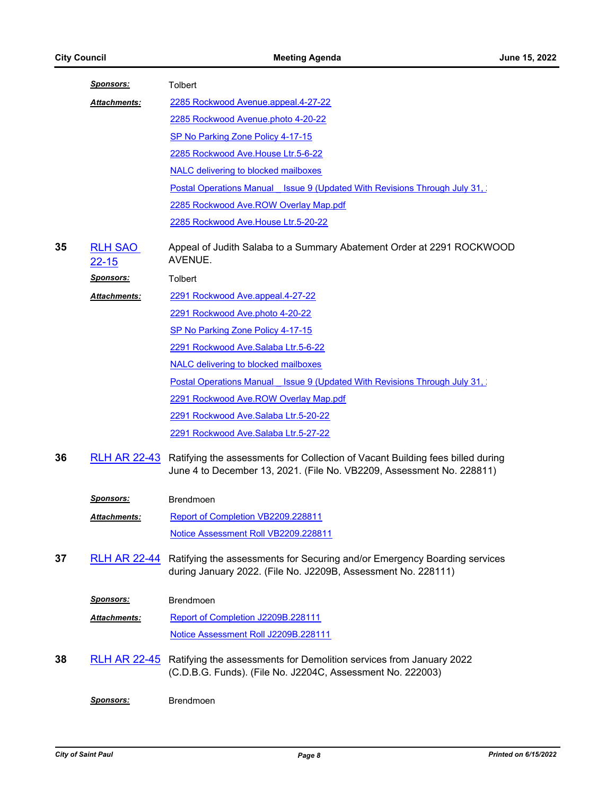|    | <u>Sponsors:</u>            | Tolbert                                                                                                                                                 |
|----|-----------------------------|---------------------------------------------------------------------------------------------------------------------------------------------------------|
|    | <b>Attachments:</b>         | 2285 Rockwood Avenue.appeal.4-27-22                                                                                                                     |
|    |                             | 2285 Rockwood Avenue.photo 4-20-22                                                                                                                      |
|    |                             | SP No Parking Zone Policy 4-17-15                                                                                                                       |
|    |                             | 2285 Rockwood Ave.House Ltr.5-6-22                                                                                                                      |
|    |                             | <b>NALC delivering to blocked mailboxes</b>                                                                                                             |
|    |                             | <b>Postal Operations Manual Issue 9 (Updated With Revisions Through July 31, 19</b>                                                                     |
|    |                             | 2285 Rockwood Ave.ROW Overlay Map.pdf                                                                                                                   |
|    |                             | 2285 Rockwood Ave.House Ltr.5-20-22                                                                                                                     |
| 35 | <b>RLH SAO</b><br>$22 - 15$ | Appeal of Judith Salaba to a Summary Abatement Order at 2291 ROCKWOOD<br>AVENUE.                                                                        |
|    | <u>Sponsors:</u>            | Tolbert                                                                                                                                                 |
|    | Attachments:                | 2291 Rockwood Ave.appeal.4-27-22                                                                                                                        |
|    |                             | 2291 Rockwood Ave.photo 4-20-22                                                                                                                         |
|    |                             | SP No Parking Zone Policy 4-17-15                                                                                                                       |
|    |                             | 2291 Rockwood Ave.Salaba Ltr.5-6-22                                                                                                                     |
|    |                             | <b>NALC</b> delivering to blocked mailboxes                                                                                                             |
|    |                             | <b>Postal Operations Manual Issue 9 (Updated With Revisions Through July 31, )</b>                                                                      |
|    |                             | 2291 Rockwood Ave.ROW Overlay Map.pdf                                                                                                                   |
|    |                             | 2291 Rockwood Ave.Salaba Ltr.5-20-22                                                                                                                    |
|    |                             | 2291 Rockwood Ave.Salaba Ltr.5-27-22                                                                                                                    |
| 36 | <b>RLH AR 22-43</b>         | Ratifying the assessments for Collection of Vacant Building fees billed during<br>June 4 to December 13, 2021. (File No. VB2209, Assessment No. 228811) |
|    | <u>Sponsors:</u>            | Brendmoen                                                                                                                                               |
|    | Attachments:                | Report of Completion VB2209.228811                                                                                                                      |
|    |                             | Notice Assessment Roll VB2209.228811                                                                                                                    |
| 37 | <b>RLH AR 22-44</b>         | Ratifying the assessments for Securing and/or Emergency Boarding services<br>during January 2022. (File No. J2209B, Assessment No. 228111)              |
|    | <u>Sponsors:</u>            | Brendmoen                                                                                                                                               |
|    | Attachments:                | Report of Completion J2209B.228111                                                                                                                      |
|    |                             | Notice Assessment Roll J2209B.228111                                                                                                                    |
| 38 | <u>RLH AR 22-45</u>         | Ratifying the assessments for Demolition services from January 2022<br>(C.D.B.G. Funds). (File No. J2204C, Assessment No. 222003)                       |
|    | Sponsors:                   | Brendmoen                                                                                                                                               |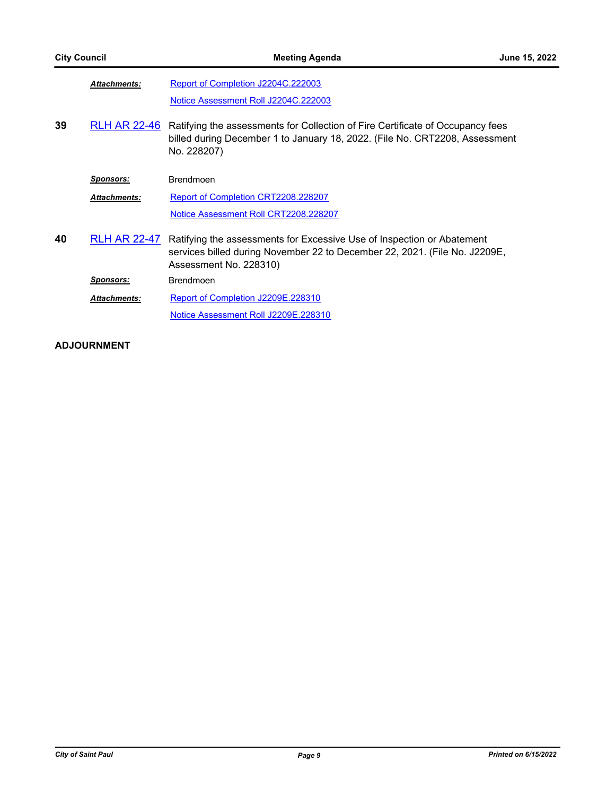|    | <b>Attachments:</b> | Report of Completion J2204C.222003                                                                                                                                             |
|----|---------------------|--------------------------------------------------------------------------------------------------------------------------------------------------------------------------------|
|    |                     | Notice Assessment Roll J2204C.222003                                                                                                                                           |
| 39 | <b>RLH AR 22-46</b> | Ratifying the assessments for Collection of Fire Certificate of Occupancy fees<br>billed during December 1 to January 18, 2022. (File No. CRT2208, Assessment<br>No. 228207)   |
|    | <b>Sponsors:</b>    | <b>Brendmoen</b>                                                                                                                                                               |
|    | <b>Attachments:</b> | Report of Completion CRT2208.228207                                                                                                                                            |
|    |                     | Notice Assessment Roll CRT2208.228207                                                                                                                                          |
| 40 | <b>RLH AR 22-47</b> | Ratifying the assessments for Excessive Use of Inspection or Abatement<br>services billed during November 22 to December 22, 2021. (File No. J2209E,<br>Assessment No. 228310) |
|    | <u>Sponsors:</u>    | Brendmoen                                                                                                                                                                      |
|    | <b>Attachments:</b> | Report of Completion J2209E.228310                                                                                                                                             |
|    |                     | Notice Assessment Roll J2209E.228310                                                                                                                                           |

## **ADJOURNMENT**